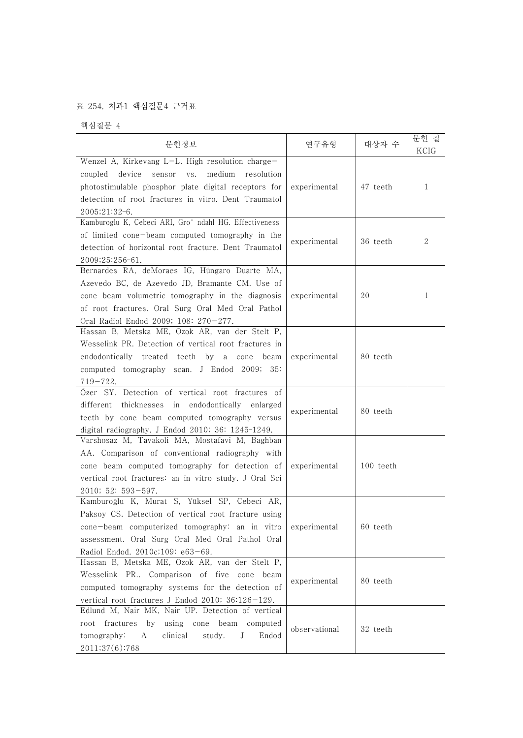## 표 254. 치과1 핵심질문4 근거표

핵심질문 4

| 문헌정보                                                                                                                                                                                                                                              | 연구유형          | 대상자 수     | 문헌 질<br>KCIG |
|---------------------------------------------------------------------------------------------------------------------------------------------------------------------------------------------------------------------------------------------------|---------------|-----------|--------------|
| Wenzel A, Kirkevang L-L. High resolution charge-                                                                                                                                                                                                  |               |           |              |
| device<br>medium<br>coupled<br>sensor<br>VS.<br>resolution<br>photostimulable phosphor plate digital receptors for<br>detection of root fractures in vitro. Dent Traumatol<br>2005;21:32-6.                                                       | experimental  | 47 teeth  | 1            |
| Kamburoglu K, Cebeci ARI, Gro" ndahl HG. Effectiveness<br>of limited cone-beam computed tomography in the<br>detection of horizontal root fracture. Dent Traumatol<br>2009;25:256-61.                                                             | experimental  | 36 teeth  | 2            |
| Bernardes RA, deMoraes IG, Húngaro Duarte MA,<br>Azevedo BC, de Azevedo JD, Bramante CM. Use of<br>cone beam volumetric tomography in the diagnosis<br>of root fractures. Oral Surg Oral Med Oral Pathol<br>Oral Radiol Endod 2009; 108: 270-277. | experimental  | 20        | 1            |
| Hassan B, Metska ME, Ozok AR, van der Stelt P,<br>Wesselink PR. Detection of vertical root fractures in<br>endodontically treated teeth by a cone beam<br>computed tomography scan. J Endod 2009; 35:<br>$719 - 722.$                             | experimental  | 80 teeth  |              |
| Őzer SY. Detection of vertical root fractures of<br>thicknesses in endodontically enlarged<br>different<br>teeth by cone beam computed tomography versus<br>digital radiography. J Endod 2010; 36: 1245-1249.                                     | experimental  | 80 teeth  |              |
| Varshosaz M, Tavakoli MA, Mostafavi M, Baghban<br>AA. Comparison of conventional radiography with<br>cone beam computed tomography for detection of<br>vertical root fractures: an in vitro study. J Oral Sci<br>2010; 52: 593-597.               | experimental  | 100 teeth |              |
| Kamburoğlu K, Murat S, Yüksel SP, Cebeci AR,<br>Paksoy CS. Detection of vertical root fracture using<br>cone-beam computerized tomography: an in vitro<br>assessment. Oral Surg Oral Med Oral Pathol Oral<br>Radiol Endod. 2010c;109: e63-69.     | experimental  | 60 teeth  |              |
| Hassan B, Metska ME, Ozok AR, van der Stelt P,<br>Wesselink PR Comparison of five cone beam<br>computed tomography systems for the detection of<br>vertical root fractures J Endod 2010; 36:126-129.                                              | experimental  | 80 teeth  |              |
| Edlund M, Nair MK, Nair UP. Detection of vertical<br>fractures<br>using cone beam computed<br>by<br>root<br>tomography:<br>clinical<br>A<br>study.<br>J<br>Endod<br>2011;37(6):768                                                                | observational | 32 teeth  |              |